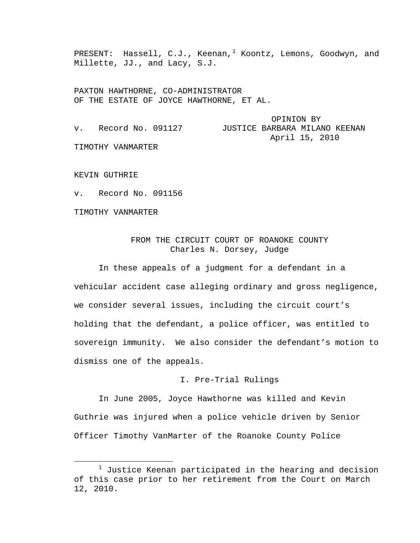PRESENT: Hassell, C.J., Keenan,<sup>[1](#page-0-0)</sup> Koontz, Lemons, Goodwyn, and Millette, JJ., and Lacy, S.J.

PAXTON HAWTHORNE, CO-ADMINISTRATOR OF THE ESTATE OF JOYCE HAWTHORNE, ET AL.

 OPINION BY v. Record No. 091127 JUSTICE BARBARA MILANO KEENAN April 15, 2010

TIMOTHY VANMARTER

KEVIN GUTHRIE

v. Record No. 091156

TIMOTHY VANMARTER

# FROM THE CIRCUIT COURT OF ROANOKE COUNTY Charles N. Dorsey, Judge

In these appeals of a judgment for a defendant in a vehicular accident case alleging ordinary and gross negligence, we consider several issues, including the circuit court's holding that the defendant, a police officer, was entitled to sovereign immunity. We also consider the defendant's motion to dismiss one of the appeals.

#### I. Pre-Trial Rulings

In June 2005, Joyce Hawthorne was killed and Kevin Guthrie was injured when a police vehicle driven by Senior Officer Timothy VanMarter of the Roanoke County Police

<span id="page-0-0"></span><sup>&</sup>lt;u>1</u>  $1$  Justice Keenan participated in the hearing and decision of this case prior to her retirement from the Court on March 12, 2010.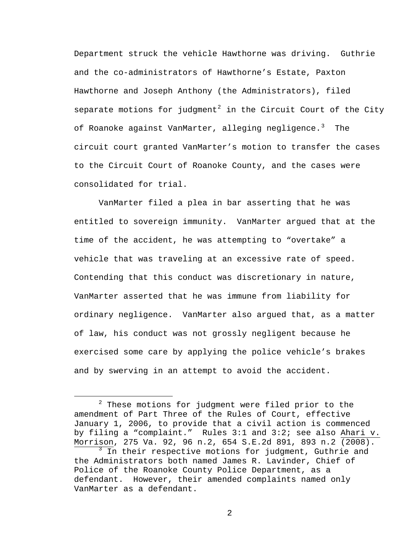Department struck the vehicle Hawthorne was driving. Guthrie and the co-administrators of Hawthorne's Estate, Paxton Hawthorne and Joseph Anthony (the Administrators), filed separate motions for judgment<sup>[2](#page-1-0)</sup> in the Circuit Court of the City of Roanoke against VanMarter, alleging negligence.<sup>[3](#page-1-1)</sup> The circuit court granted VanMarter's motion to transfer the cases to the Circuit Court of Roanoke County, and the cases were consolidated for trial.

VanMarter filed a plea in bar asserting that he was entitled to sovereign immunity. VanMarter argued that at the time of the accident, he was attempting to "overtake" a vehicle that was traveling at an excessive rate of speed. Contending that this conduct was discretionary in nature, VanMarter asserted that he was immune from liability for ordinary negligence. VanMarter also argued that, as a matter of law, his conduct was not grossly negligent because he exercised some care by applying the police vehicle's brakes and by swerving in an attempt to avoid the accident.

<span id="page-1-1"></span><span id="page-1-0"></span> $\begin{array}{c|c}\n\hline\n\end{array}$  $2$  These motions for judgment were filed prior to the amendment of Part Three of the Rules of Court, effective January 1, 2006, to provide that a civil action is commenced by filing a "complaint." Rules 3:1 and 3:2; see also Ahari v. Morrison, 275 Va. 92, 96 n.2, 654 S.E.2d 891, 893 n.2 (2008).  $\frac{3}{3}$  In their respective motions for judgment, Guthrie and the Administrators both named James R. Lavinder, Chief of Police of the Roanoke County Police Department, as a defendant. However, their amended complaints named only VanMarter as a defendant.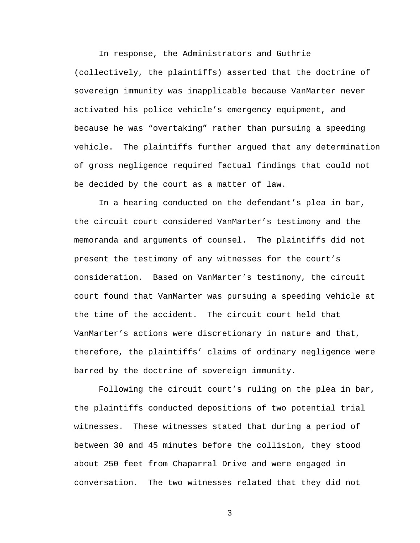In response, the Administrators and Guthrie (collectively, the plaintiffs) asserted that the doctrine of sovereign immunity was inapplicable because VanMarter never activated his police vehicle's emergency equipment, and because he was "overtaking" rather than pursuing a speeding vehicle. The plaintiffs further argued that any determination of gross negligence required factual findings that could not be decided by the court as a matter of law.

In a hearing conducted on the defendant's plea in bar, the circuit court considered VanMarter's testimony and the memoranda and arguments of counsel. The plaintiffs did not present the testimony of any witnesses for the court's consideration. Based on VanMarter's testimony, the circuit court found that VanMarter was pursuing a speeding vehicle at the time of the accident. The circuit court held that VanMarter's actions were discretionary in nature and that, therefore, the plaintiffs' claims of ordinary negligence were barred by the doctrine of sovereign immunity.

Following the circuit court's ruling on the plea in bar, the plaintiffs conducted depositions of two potential trial witnesses. These witnesses stated that during a period of between 30 and 45 minutes before the collision, they stood about 250 feet from Chaparral Drive and were engaged in conversation. The two witnesses related that they did not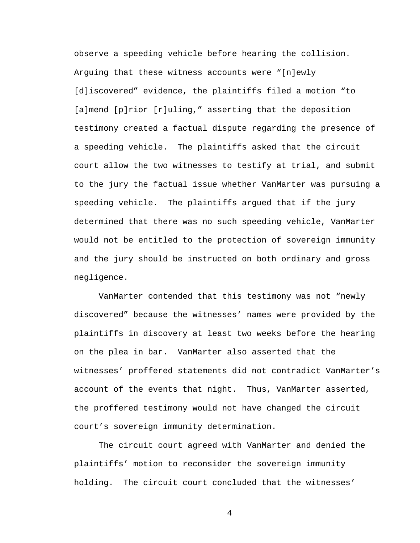observe a speeding vehicle before hearing the collision. Arguing that these witness accounts were "[n]ewly [d]iscovered" evidence, the plaintiffs filed a motion "to [a]mend [p]rior [r]uling," asserting that the deposition testimony created a factual dispute regarding the presence of a speeding vehicle. The plaintiffs asked that the circuit court allow the two witnesses to testify at trial, and submit to the jury the factual issue whether VanMarter was pursuing a speeding vehicle. The plaintiffs argued that if the jury determined that there was no such speeding vehicle, VanMarter would not be entitled to the protection of sovereign immunity and the jury should be instructed on both ordinary and gross negligence.

VanMarter contended that this testimony was not "newly discovered" because the witnesses' names were provided by the plaintiffs in discovery at least two weeks before the hearing on the plea in bar. VanMarter also asserted that the witnesses' proffered statements did not contradict VanMarter's account of the events that night. Thus, VanMarter asserted, the proffered testimony would not have changed the circuit court's sovereign immunity determination.

The circuit court agreed with VanMarter and denied the plaintiffs' motion to reconsider the sovereign immunity holding. The circuit court concluded that the witnesses'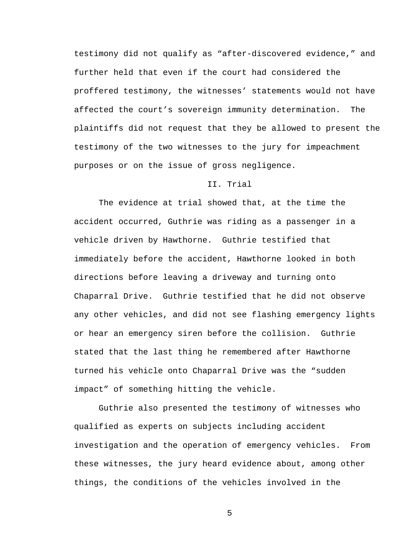testimony did not qualify as "after-discovered evidence," and further held that even if the court had considered the proffered testimony, the witnesses' statements would not have affected the court's sovereign immunity determination. The plaintiffs did not request that they be allowed to present the testimony of the two witnesses to the jury for impeachment purposes or on the issue of gross negligence.

#### II. Trial

The evidence at trial showed that, at the time the accident occurred, Guthrie was riding as a passenger in a vehicle driven by Hawthorne. Guthrie testified that immediately before the accident, Hawthorne looked in both directions before leaving a driveway and turning onto Chaparral Drive. Guthrie testified that he did not observe any other vehicles, and did not see flashing emergency lights or hear an emergency siren before the collision. Guthrie stated that the last thing he remembered after Hawthorne turned his vehicle onto Chaparral Drive was the "sudden impact" of something hitting the vehicle.

Guthrie also presented the testimony of witnesses who qualified as experts on subjects including accident investigation and the operation of emergency vehicles. From these witnesses, the jury heard evidence about, among other things, the conditions of the vehicles involved in the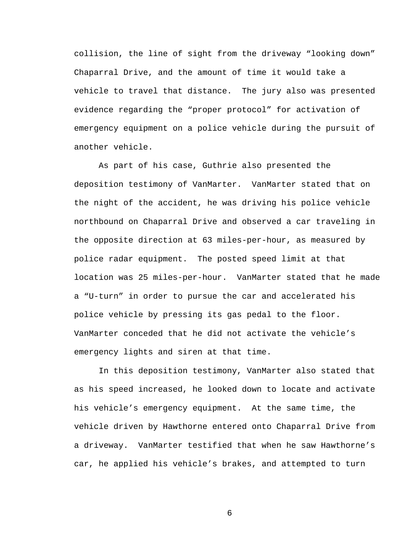collision, the line of sight from the driveway "looking down" Chaparral Drive, and the amount of time it would take a vehicle to travel that distance. The jury also was presented evidence regarding the "proper protocol" for activation of emergency equipment on a police vehicle during the pursuit of another vehicle.

As part of his case, Guthrie also presented the deposition testimony of VanMarter. VanMarter stated that on the night of the accident, he was driving his police vehicle northbound on Chaparral Drive and observed a car traveling in the opposite direction at 63 miles-per-hour, as measured by police radar equipment. The posted speed limit at that location was 25 miles-per-hour. VanMarter stated that he made a "U-turn" in order to pursue the car and accelerated his police vehicle by pressing its gas pedal to the floor. VanMarter conceded that he did not activate the vehicle's emergency lights and siren at that time.

In this deposition testimony, VanMarter also stated that as his speed increased, he looked down to locate and activate his vehicle's emergency equipment. At the same time, the vehicle driven by Hawthorne entered onto Chaparral Drive from a driveway. VanMarter testified that when he saw Hawthorne's car, he applied his vehicle's brakes, and attempted to turn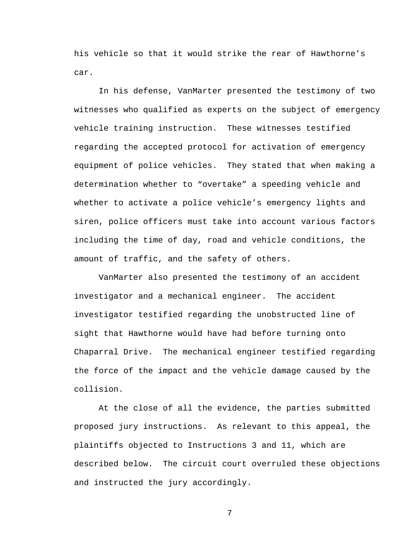his vehicle so that it would strike the rear of Hawthorne's car.

In his defense, VanMarter presented the testimony of two witnesses who qualified as experts on the subject of emergency vehicle training instruction. These witnesses testified regarding the accepted protocol for activation of emergency equipment of police vehicles. They stated that when making a determination whether to "overtake" a speeding vehicle and whether to activate a police vehicle's emergency lights and siren, police officers must take into account various factors including the time of day, road and vehicle conditions, the amount of traffic, and the safety of others.

VanMarter also presented the testimony of an accident investigator and a mechanical engineer. The accident investigator testified regarding the unobstructed line of sight that Hawthorne would have had before turning onto Chaparral Drive. The mechanical engineer testified regarding the force of the impact and the vehicle damage caused by the collision.

At the close of all the evidence, the parties submitted proposed jury instructions. As relevant to this appeal, the plaintiffs objected to Instructions 3 and 11, which are described below. The circuit court overruled these objections and instructed the jury accordingly.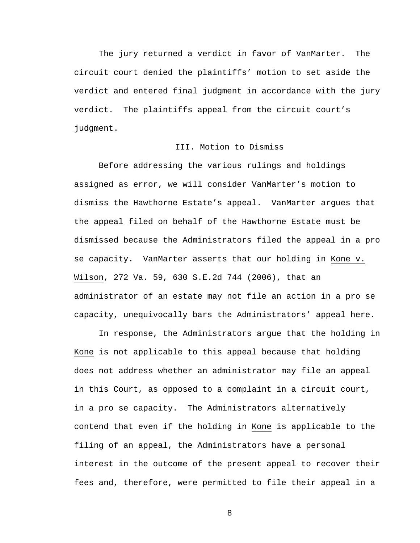The jury returned a verdict in favor of VanMarter. The circuit court denied the plaintiffs' motion to set aside the verdict and entered final judgment in accordance with the jury verdict. The plaintiffs appeal from the circuit court's judgment.

### III. Motion to Dismiss

Before addressing the various rulings and holdings assigned as error, we will consider VanMarter's motion to dismiss the Hawthorne Estate's appeal. VanMarter argues that the appeal filed on behalf of the Hawthorne Estate must be dismissed because the Administrators filed the appeal in a pro se capacity. VanMarter asserts that our holding in Kone v. Wilson, 272 Va. 59, 630 S.E.2d 744 (2006), that an administrator of an estate may not file an action in a pro se capacity, unequivocally bars the Administrators' appeal here.

In response, the Administrators argue that the holding in Kone is not applicable to this appeal because that holding does not address whether an administrator may file an appeal in this Court, as opposed to a complaint in a circuit court, in a pro se capacity. The Administrators alternatively contend that even if the holding in Kone is applicable to the filing of an appeal, the Administrators have a personal interest in the outcome of the present appeal to recover their fees and, therefore, were permitted to file their appeal in a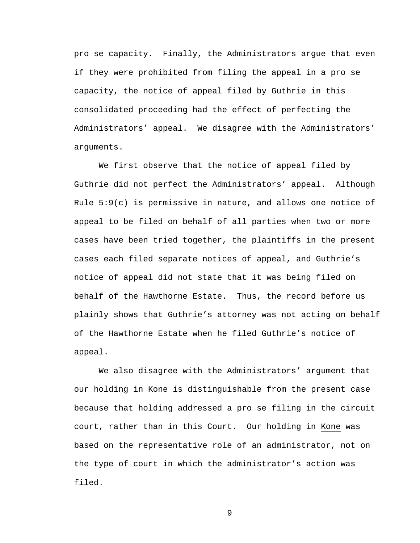pro se capacity. Finally, the Administrators argue that even if they were prohibited from filing the appeal in a pro se capacity, the notice of appeal filed by Guthrie in this consolidated proceeding had the effect of perfecting the Administrators' appeal. We disagree with the Administrators' arguments.

We first observe that the notice of appeal filed by Guthrie did not perfect the Administrators' appeal. Although Rule 5:9(c) is permissive in nature, and allows one notice of appeal to be filed on behalf of all parties when two or more cases have been tried together, the plaintiffs in the present cases each filed separate notices of appeal, and Guthrie's notice of appeal did not state that it was being filed on behalf of the Hawthorne Estate. Thus, the record before us plainly shows that Guthrie's attorney was not acting on behalf of the Hawthorne Estate when he filed Guthrie's notice of appeal.

We also disagree with the Administrators' argument that our holding in Kone is distinguishable from the present case because that holding addressed a pro se filing in the circuit court, rather than in this Court. Our holding in Kone was based on the representative role of an administrator, not on the type of court in which the administrator's action was filed.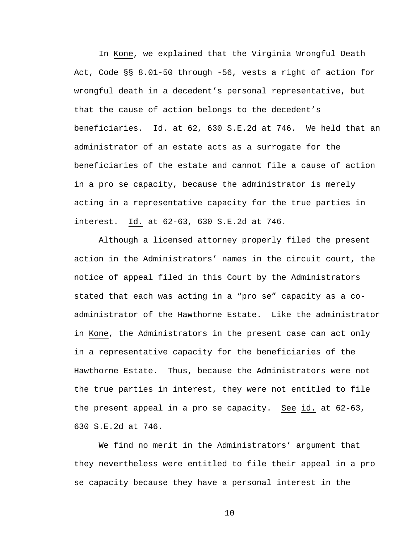In Kone, we explained that the Virginia Wrongful Death Act, Code §§ 8.01-50 through -56, vests a right of action for wrongful death in a decedent's personal representative, but that the cause of action belongs to the decedent's beneficiaries. Id. at 62, 630 S.E.2d at 746. We held that an administrator of an estate acts as a surrogate for the beneficiaries of the estate and cannot file a cause of action in a pro se capacity, because the administrator is merely acting in a representative capacity for the true parties in interest. Id. at 62-63, 630 S.E.2d at 746.

Although a licensed attorney properly filed the present action in the Administrators' names in the circuit court, the notice of appeal filed in this Court by the Administrators stated that each was acting in a "pro se" capacity as a coadministrator of the Hawthorne Estate. Like the administrator in Kone, the Administrators in the present case can act only in a representative capacity for the beneficiaries of the Hawthorne Estate. Thus, because the Administrators were not the true parties in interest, they were not entitled to file the present appeal in a pro se capacity. See id. at 62-63, 630 S.E.2d at 746.

We find no merit in the Administrators' argument that they nevertheless were entitled to file their appeal in a pro se capacity because they have a personal interest in the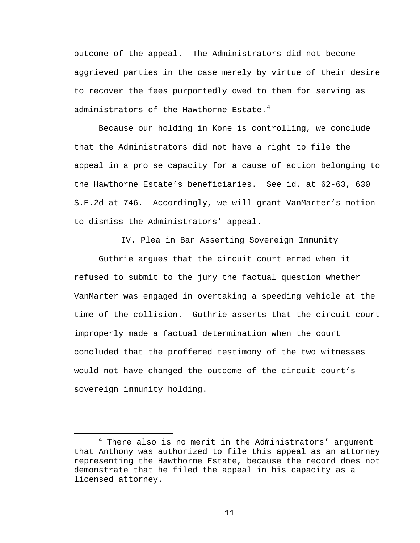outcome of the appeal. The Administrators did not become aggrieved parties in the case merely by virtue of their desire to recover the fees purportedly owed to them for serving as administrators of the Hawthorne Estate. $4$ 

Because our holding in Kone is controlling, we conclude that the Administrators did not have a right to file the appeal in a pro se capacity for a cause of action belonging to the Hawthorne Estate's beneficiaries. See id. at 62-63, 630 S.E.2d at 746. Accordingly, we will grant VanMarter's motion to dismiss the Administrators' appeal.

IV. Plea in Bar Asserting Sovereign Immunity

Guthrie argues that the circuit court erred when it refused to submit to the jury the factual question whether VanMarter was engaged in overtaking a speeding vehicle at the time of the collision. Guthrie asserts that the circuit court improperly made a factual determination when the court concluded that the proffered testimony of the two witnesses would not have changed the outcome of the circuit court's sovereign immunity holding.

<span id="page-10-0"></span> $\overline{4}$  $4$  There also is no merit in the Administrators' argument that Anthony was authorized to file this appeal as an attorney representing the Hawthorne Estate, because the record does not demonstrate that he filed the appeal in his capacity as a licensed attorney.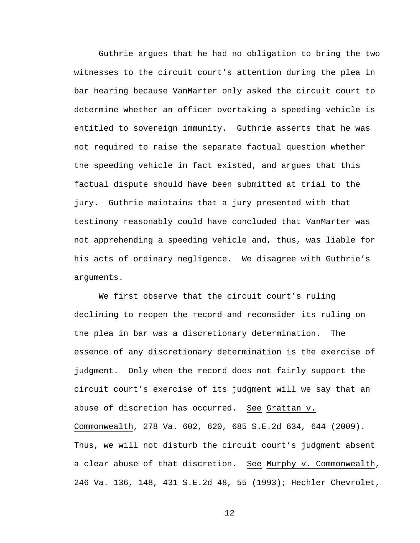Guthrie argues that he had no obligation to bring the two witnesses to the circuit court's attention during the plea in bar hearing because VanMarter only asked the circuit court to determine whether an officer overtaking a speeding vehicle is entitled to sovereign immunity. Guthrie asserts that he was not required to raise the separate factual question whether the speeding vehicle in fact existed, and argues that this factual dispute should have been submitted at trial to the jury. Guthrie maintains that a jury presented with that testimony reasonably could have concluded that VanMarter was not apprehending a speeding vehicle and, thus, was liable for his acts of ordinary negligence. We disagree with Guthrie's arguments.

We first observe that the circuit court's ruling declining to reopen the record and reconsider its ruling on the plea in bar was a discretionary determination. The essence of any discretionary determination is the exercise of judgment. Only when the record does not fairly support the circuit court's exercise of its judgment will we say that an abuse of discretion has occurred. See Grattan v. Commonwealth, 278 Va. 602, 620, 685 S.E.2d 634, 644 (2009). Thus, we will not disturb the circuit court's judgment absent a clear abuse of that discretion. See Murphy v. Commonwealth, 246 Va. 136, 148, 431 S.E.2d 48, 55 (1993); Hechler Chevrolet,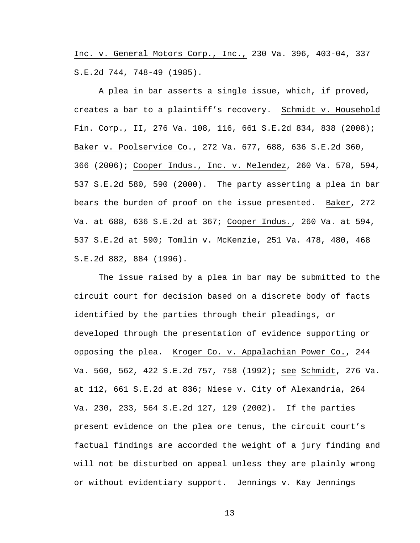Inc. v. General Motors Corp., Inc., 230 Va. 396, 403-04, 337 S.E.2d 744, 748-49 (1985).

A plea in bar asserts a single issue, which, if proved, creates a bar to a plaintiff's recovery. Schmidt v. Household Fin. Corp., II, 276 Va. 108, 116, 661 S.E.2d 834, 838 (2008); Baker v. Poolservice Co., 272 Va. 677, 688, 636 S.E.2d 360, 366 (2006); Cooper Indus., Inc. v. Melendez, 260 Va. 578, 594, 537 S.E.2d 580, 590 (2000). The party asserting a plea in bar bears the burden of proof on the issue presented. Baker, 272 Va. at 688, 636 S.E.2d at 367; Cooper Indus., 260 Va. at 594, 537 S.E.2d at 590; Tomlin v. McKenzie, 251 Va. 478, 480, 468 S.E.2d 882, 884 (1996).

The issue raised by a plea in bar may be submitted to the circuit court for decision based on a discrete body of facts identified by the parties through their pleadings, or developed through the presentation of evidence supporting or opposing the plea. Kroger Co. v. Appalachian Power Co., 244 Va. 560, 562, 422 S.E.2d 757, 758 (1992); see Schmidt, 276 Va. at 112, 661 S.E.2d at 836; Niese v. City of Alexandria, 264 Va. 230, 233, 564 S.E.2d 127, 129 (2002). If the parties present evidence on the plea ore tenus, the circuit court's factual findings are accorded the weight of a jury finding and will not be disturbed on appeal unless they are plainly wrong or without evidentiary support. Jennings v. Kay Jennings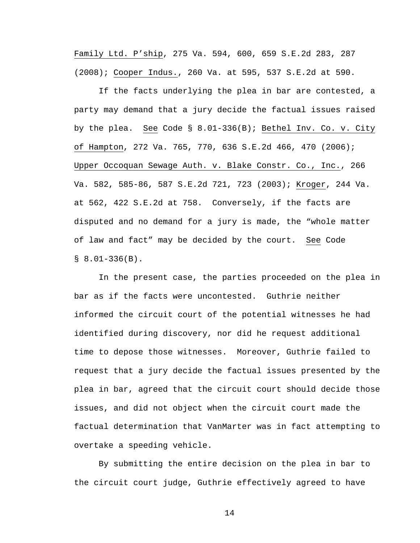Family Ltd. P'ship, 275 Va. 594, 600, 659 S.E.2d 283, 287 (2008); Cooper Indus., 260 Va. at 595, 537 S.E.2d at 590.

If the facts underlying the plea in bar are contested, a party may demand that a jury decide the factual issues raised by the plea. See Code § 8.01-336(B); Bethel Inv. Co. v. City of Hampton, 272 Va. 765, 770, 636 S.E.2d 466, 470 (2006); Upper Occoquan Sewage Auth. v. Blake Constr. Co., Inc., 266 Va. 582, 585-86, 587 S.E.2d 721, 723 (2003); Kroger, 244 Va. at 562, 422 S.E.2d at 758. Conversely, if the facts are disputed and no demand for a jury is made, the "whole matter of law and fact" may be decided by the court. See Code  $$8.01-336(B).$ 

In the present case, the parties proceeded on the plea in bar as if the facts were uncontested. Guthrie neither informed the circuit court of the potential witnesses he had identified during discovery, nor did he request additional time to depose those witnesses. Moreover, Guthrie failed to request that a jury decide the factual issues presented by the plea in bar, agreed that the circuit court should decide those issues, and did not object when the circuit court made the factual determination that VanMarter was in fact attempting to overtake a speeding vehicle.

By submitting the entire decision on the plea in bar to the circuit court judge, Guthrie effectively agreed to have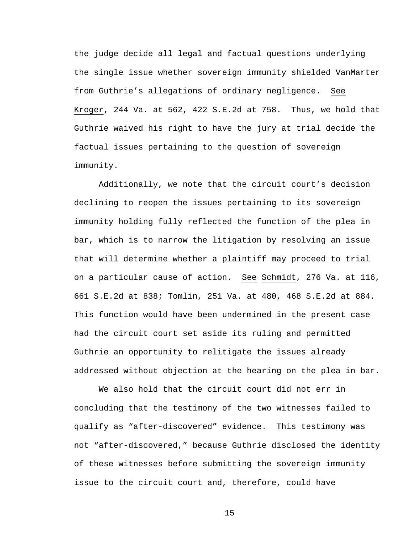the judge decide all legal and factual questions underlying the single issue whether sovereign immunity shielded VanMarter from Guthrie's allegations of ordinary negligence. See Kroger, 244 Va. at 562, 422 S.E.2d at 758. Thus, we hold that Guthrie waived his right to have the jury at trial decide the factual issues pertaining to the question of sovereign immunity.

Additionally, we note that the circuit court's decision declining to reopen the issues pertaining to its sovereign immunity holding fully reflected the function of the plea in bar, which is to narrow the litigation by resolving an issue that will determine whether a plaintiff may proceed to trial on a particular cause of action. See Schmidt, 276 Va. at 116, 661 S.E.2d at 838; Tomlin, 251 Va. at 480, 468 S.E.2d at 884. This function would have been undermined in the present case had the circuit court set aside its ruling and permitted Guthrie an opportunity to relitigate the issues already addressed without objection at the hearing on the plea in bar.

We also hold that the circuit court did not err in concluding that the testimony of the two witnesses failed to qualify as "after-discovered" evidence. This testimony was not "after-discovered," because Guthrie disclosed the identity of these witnesses before submitting the sovereign immunity issue to the circuit court and, therefore, could have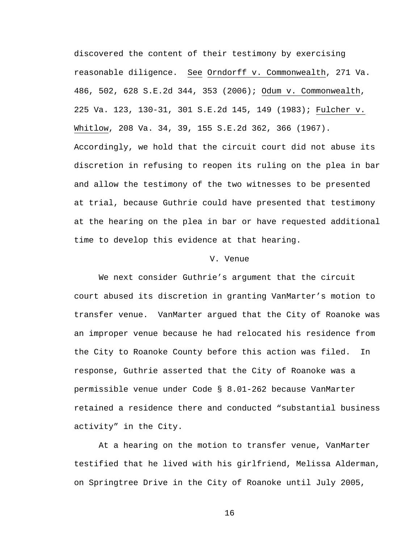discovered the content of their testimony by exercising reasonable diligence. See Orndorff v. Commonwealth, 271 Va. 486, 502, 628 S.E.2d 344, 353 (2006); Odum v. Commonwealth, 225 Va. 123, 130-31, 301 S.E.2d 145, 149 (1983); Fulcher v. Whitlow, 208 Va. 34, 39, 155 S.E.2d 362, 366 (1967). Accordingly, we hold that the circuit court did not abuse its discretion in refusing to reopen its ruling on the plea in bar and allow the testimony of the two witnesses to be presented at trial, because Guthrie could have presented that testimony at the hearing on the plea in bar or have requested additional time to develop this evidence at that hearing.

#### V. Venue

We next consider Guthrie's argument that the circuit court abused its discretion in granting VanMarter's motion to transfer venue. VanMarter argued that the City of Roanoke was an improper venue because he had relocated his residence from the City to Roanoke County before this action was filed. In response, Guthrie asserted that the City of Roanoke was a permissible venue under Code § 8.01-262 because VanMarter retained a residence there and conducted "substantial business activity" in the City.

At a hearing on the motion to transfer venue, VanMarter testified that he lived with his girlfriend, Melissa Alderman, on Springtree Drive in the City of Roanoke until July 2005,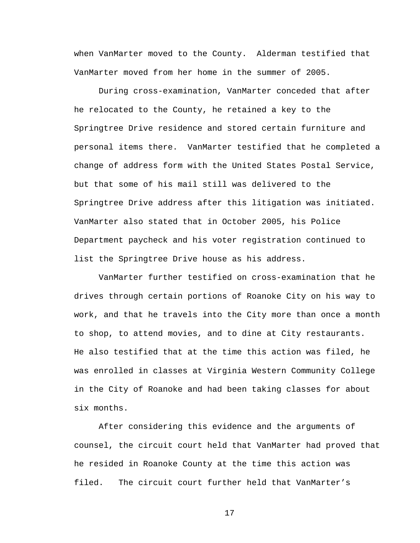when VanMarter moved to the County. Alderman testified that VanMarter moved from her home in the summer of 2005.

During cross-examination, VanMarter conceded that after he relocated to the County, he retained a key to the Springtree Drive residence and stored certain furniture and personal items there. VanMarter testified that he completed a change of address form with the United States Postal Service, but that some of his mail still was delivered to the Springtree Drive address after this litigation was initiated. VanMarter also stated that in October 2005, his Police Department paycheck and his voter registration continued to list the Springtree Drive house as his address.

VanMarter further testified on cross-examination that he drives through certain portions of Roanoke City on his way to work, and that he travels into the City more than once a month to shop, to attend movies, and to dine at City restaurants. He also testified that at the time this action was filed, he was enrolled in classes at Virginia Western Community College in the City of Roanoke and had been taking classes for about six months.

After considering this evidence and the arguments of counsel, the circuit court held that VanMarter had proved that he resided in Roanoke County at the time this action was filed. The circuit court further held that VanMarter's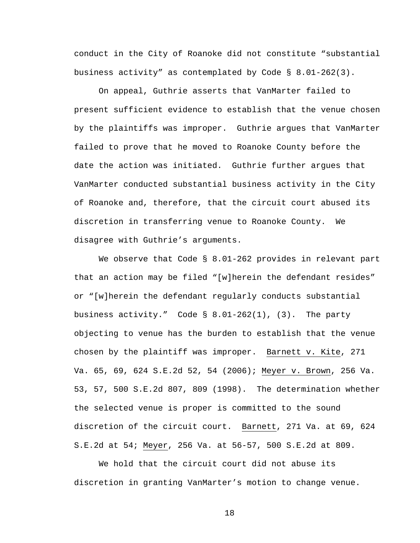conduct in the City of Roanoke did not constitute "substantial business activity" as contemplated by Code § 8.01-262(3).

On appeal, Guthrie asserts that VanMarter failed to present sufficient evidence to establish that the venue chosen by the plaintiffs was improper. Guthrie argues that VanMarter failed to prove that he moved to Roanoke County before the date the action was initiated. Guthrie further argues that VanMarter conducted substantial business activity in the City of Roanoke and, therefore, that the circuit court abused its discretion in transferring venue to Roanoke County. We disagree with Guthrie's arguments.

We observe that Code § 8.01-262 provides in relevant part that an action may be filed "[w]herein the defendant resides" or "[w]herein the defendant regularly conducts substantial business activity." Code  $\S$  8.01-262(1), (3). The party objecting to venue has the burden to establish that the venue chosen by the plaintiff was improper. Barnett v. Kite, 271 Va. 65, 69, 624 S.E.2d 52, 54 (2006); Meyer v. Brown, 256 Va. 53, 57, 500 S.E.2d 807, 809 (1998). The determination whether the selected venue is proper is committed to the sound discretion of the circuit court. Barnett, 271 Va. at 69, 624 S.E.2d at 54; Meyer, 256 Va. at 56-57, 500 S.E.2d at 809.

We hold that the circuit court did not abuse its discretion in granting VanMarter's motion to change venue.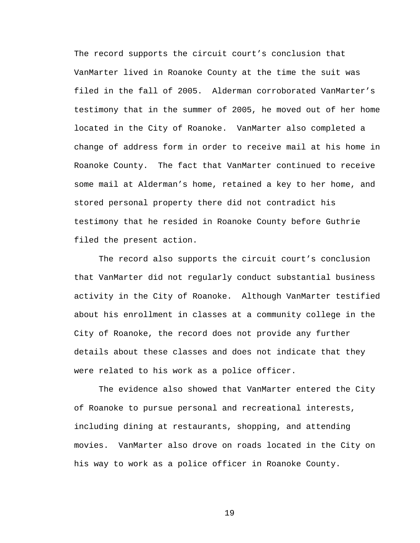The record supports the circuit court's conclusion that VanMarter lived in Roanoke County at the time the suit was filed in the fall of 2005. Alderman corroborated VanMarter's testimony that in the summer of 2005, he moved out of her home located in the City of Roanoke. VanMarter also completed a change of address form in order to receive mail at his home in Roanoke County. The fact that VanMarter continued to receive some mail at Alderman's home, retained a key to her home, and stored personal property there did not contradict his testimony that he resided in Roanoke County before Guthrie filed the present action.

The record also supports the circuit court's conclusion that VanMarter did not regularly conduct substantial business activity in the City of Roanoke. Although VanMarter testified about his enrollment in classes at a community college in the City of Roanoke, the record does not provide any further details about these classes and does not indicate that they were related to his work as a police officer.

The evidence also showed that VanMarter entered the City of Roanoke to pursue personal and recreational interests, including dining at restaurants, shopping, and attending movies. VanMarter also drove on roads located in the City on his way to work as a police officer in Roanoke County.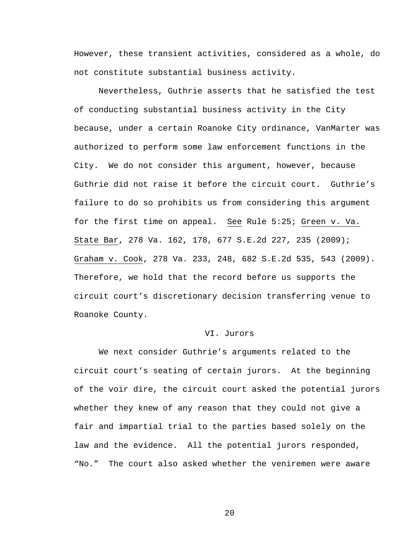However, these transient activities, considered as a whole, do not constitute substantial business activity.

Nevertheless, Guthrie asserts that he satisfied the test of conducting substantial business activity in the City because, under a certain Roanoke City ordinance, VanMarter was authorized to perform some law enforcement functions in the City. We do not consider this argument, however, because Guthrie did not raise it before the circuit court. Guthrie's failure to do so prohibits us from considering this argument for the first time on appeal. See Rule 5:25; Green v. Va. State Bar, 278 Va. 162, 178, 677 S.E.2d 227, 235 (2009); Graham v. Cook, 278 Va. 233, 248, 682 S.E.2d 535, 543 (2009). Therefore, we hold that the record before us supports the circuit court's discretionary decision transferring venue to Roanoke County.

#### VI. Jurors

We next consider Guthrie's arguments related to the circuit court's seating of certain jurors. At the beginning of the voir dire, the circuit court asked the potential jurors whether they knew of any reason that they could not give a fair and impartial trial to the parties based solely on the law and the evidence. All the potential jurors responded, "No." The court also asked whether the veniremen were aware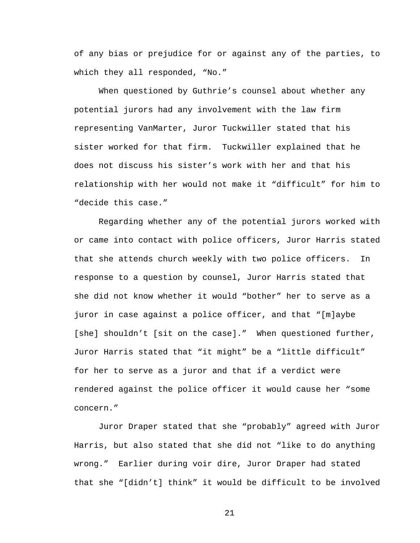of any bias or prejudice for or against any of the parties, to which they all responded, "No."

When questioned by Guthrie's counsel about whether any potential jurors had any involvement with the law firm representing VanMarter, Juror Tuckwiller stated that his sister worked for that firm. Tuckwiller explained that he does not discuss his sister's work with her and that his relationship with her would not make it "difficult" for him to "decide this case."

Regarding whether any of the potential jurors worked with or came into contact with police officers, Juror Harris stated that she attends church weekly with two police officers. In response to a question by counsel, Juror Harris stated that she did not know whether it would "bother" her to serve as a juror in case against a police officer, and that "[m]aybe [she] shouldn't [sit on the case]." When questioned further, Juror Harris stated that "it might" be a "little difficult" for her to serve as a juror and that if a verdict were rendered against the police officer it would cause her "some concern."

Juror Draper stated that she "probably" agreed with Juror Harris, but also stated that she did not "like to do anything wrong." Earlier during voir dire, Juror Draper had stated that she "[didn't] think" it would be difficult to be involved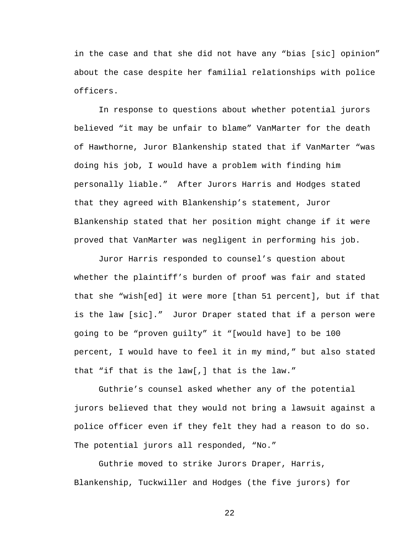in the case and that she did not have any "bias [sic] opinion" about the case despite her familial relationships with police officers.

In response to questions about whether potential jurors believed "it may be unfair to blame" VanMarter for the death of Hawthorne, Juror Blankenship stated that if VanMarter "was doing his job, I would have a problem with finding him personally liable." After Jurors Harris and Hodges stated that they agreed with Blankenship's statement, Juror Blankenship stated that her position might change if it were proved that VanMarter was negligent in performing his job.

Juror Harris responded to counsel's question about whether the plaintiff's burden of proof was fair and stated that she "wish[ed] it were more [than 51 percent], but if that is the law [sic]." Juror Draper stated that if a person were going to be "proven guilty" it "[would have] to be 100 percent, I would have to feel it in my mind," but also stated that "if that is the law[,] that is the law."

Guthrie's counsel asked whether any of the potential jurors believed that they would not bring a lawsuit against a police officer even if they felt they had a reason to do so. The potential jurors all responded, "No."

Guthrie moved to strike Jurors Draper, Harris, Blankenship, Tuckwiller and Hodges (the five jurors) for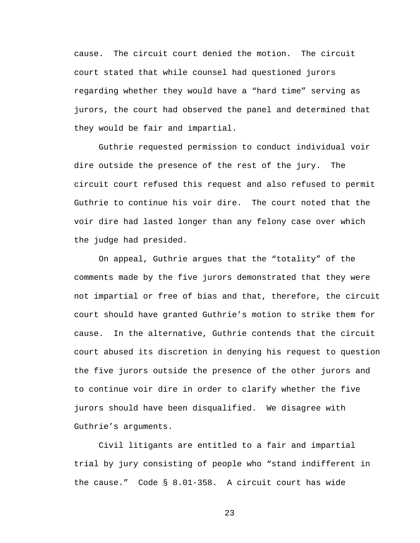cause. The circuit court denied the motion. The circuit court stated that while counsel had questioned jurors regarding whether they would have a "hard time" serving as jurors, the court had observed the panel and determined that they would be fair and impartial.

Guthrie requested permission to conduct individual voir dire outside the presence of the rest of the jury. The circuit court refused this request and also refused to permit Guthrie to continue his voir dire. The court noted that the voir dire had lasted longer than any felony case over which the judge had presided.

On appeal, Guthrie argues that the "totality" of the comments made by the five jurors demonstrated that they were not impartial or free of bias and that, therefore, the circuit court should have granted Guthrie's motion to strike them for cause. In the alternative, Guthrie contends that the circuit court abused its discretion in denying his request to question the five jurors outside the presence of the other jurors and to continue voir dire in order to clarify whether the five jurors should have been disqualified. We disagree with Guthrie's arguments.

Civil litigants are entitled to a fair and impartial trial by jury consisting of people who "stand indifferent in the cause." Code § 8.01-358. A circuit court has wide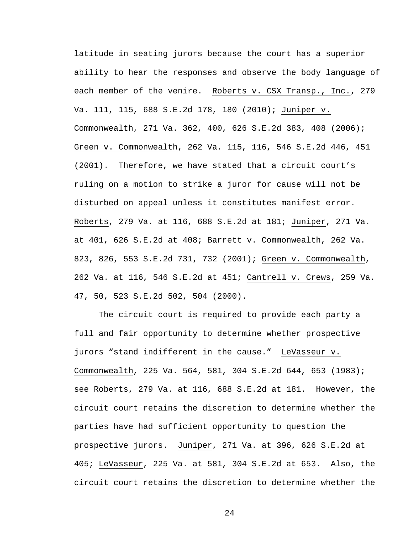latitude in seating jurors because the court has a superior ability to hear the responses and observe the body language of each member of the venire. Roberts v. CSX Transp., Inc., 279 Va. 111, 115, 688 S.E.2d 178, 180 (2010); Juniper v. Commonwealth, 271 Va. 362, 400, 626 S.E.2d 383, 408 (2006); Green v. Commonwealth, 262 Va. 115, 116, 546 S.E.2d 446, 451 (2001). Therefore, we have stated that a circuit court's ruling on a motion to strike a juror for cause will not be disturbed on appeal unless it constitutes manifest error. Roberts, 279 Va. at 116, 688 S.E.2d at 181; Juniper, 271 Va. at 401, 626 S.E.2d at 408; Barrett v. Commonwealth, 262 Va. 823, 826, 553 S.E.2d 731, 732 (2001); Green v. Commonwealth, 262 Va. at 116, 546 S.E.2d at 451; Cantrell v. Crews, 259 Va. 47, 50, 523 S.E.2d 502, 504 (2000).

 The circuit court is required to provide each party a full and fair opportunity to determine whether prospective jurors "stand indifferent in the cause." LeVasseur v. Commonwealth, 225 Va. 564, 581, 304 S.E.2d 644, 653 (1983); see Roberts, 279 Va. at 116, 688 S.E.2d at 181. However, the circuit court retains the discretion to determine whether the parties have had sufficient opportunity to question the prospective jurors. Juniper, 271 Va. at 396, 626 S.E.2d at 405; LeVasseur, 225 Va. at 581, 304 S.E.2d at 653. Also, the circuit court retains the discretion to determine whether the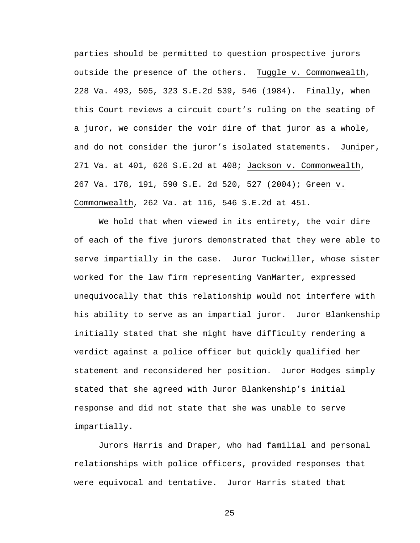parties should be permitted to question prospective jurors outside the presence of the others. Tuggle v. Commonwealth, 228 Va. 493, 505, 323 S.E.2d 539, 546 (1984). Finally, when this Court reviews a circuit court's ruling on the seating of a juror, we consider the voir dire of that juror as a whole, and do not consider the juror's isolated statements. Juniper, 271 Va. at 401, 626 S.E.2d at 408; Jackson v. Commonwealth, 267 Va. 178, 191, 590 S.E. 2d 520, 527 (2004); Green v. Commonwealth, 262 Va. at 116, 546 S.E.2d at 451.

We hold that when viewed in its entirety, the voir dire of each of the five jurors demonstrated that they were able to serve impartially in the case. Juror Tuckwiller, whose sister worked for the law firm representing VanMarter, expressed unequivocally that this relationship would not interfere with his ability to serve as an impartial juror. Juror Blankenship initially stated that she might have difficulty rendering a verdict against a police officer but quickly qualified her statement and reconsidered her position. Juror Hodges simply stated that she agreed with Juror Blankenship's initial response and did not state that she was unable to serve impartially.

Jurors Harris and Draper, who had familial and personal relationships with police officers, provided responses that were equivocal and tentative. Juror Harris stated that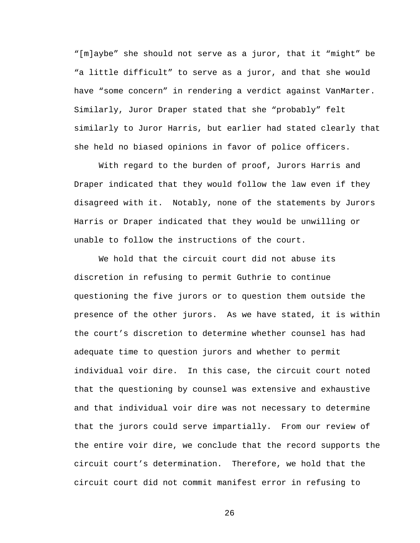"[m]aybe" she should not serve as a juror, that it "might" be "a little difficult" to serve as a juror, and that she would have "some concern" in rendering a verdict against VanMarter. Similarly, Juror Draper stated that she "probably" felt similarly to Juror Harris, but earlier had stated clearly that she held no biased opinions in favor of police officers.

With regard to the burden of proof, Jurors Harris and Draper indicated that they would follow the law even if they disagreed with it. Notably, none of the statements by Jurors Harris or Draper indicated that they would be unwilling or unable to follow the instructions of the court.

We hold that the circuit court did not abuse its discretion in refusing to permit Guthrie to continue questioning the five jurors or to question them outside the presence of the other jurors. As we have stated, it is within the court's discretion to determine whether counsel has had adequate time to question jurors and whether to permit individual voir dire. In this case, the circuit court noted that the questioning by counsel was extensive and exhaustive and that individual voir dire was not necessary to determine that the jurors could serve impartially. From our review of the entire voir dire, we conclude that the record supports the circuit court's determination. Therefore, we hold that the circuit court did not commit manifest error in refusing to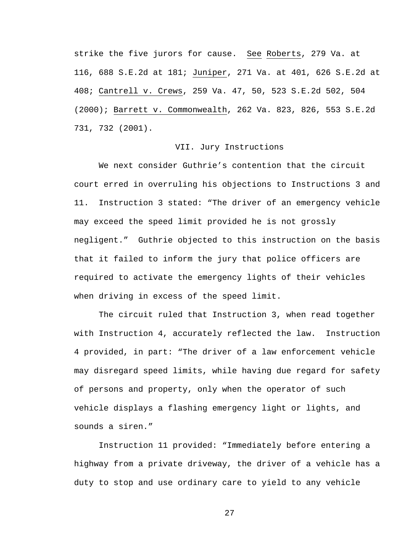strike the five jurors for cause. See Roberts, 279 Va. at 116, 688 S.E.2d at 181; Juniper, 271 Va. at 401, 626 S.E.2d at 408; Cantrell v. Crews, 259 Va. 47, 50, 523 S.E.2d 502, 504 (2000); Barrett v. Commonwealth, 262 Va. 823, 826, 553 S.E.2d 731, 732 (2001).

## VII. Jury Instructions

We next consider Guthrie's contention that the circuit court erred in overruling his objections to Instructions 3 and 11. Instruction 3 stated: "The driver of an emergency vehicle may exceed the speed limit provided he is not grossly negligent." Guthrie objected to this instruction on the basis that it failed to inform the jury that police officers are required to activate the emergency lights of their vehicles when driving in excess of the speed limit.

The circuit ruled that Instruction 3, when read together with Instruction 4, accurately reflected the law. Instruction 4 provided, in part: "The driver of a law enforcement vehicle may disregard speed limits, while having due regard for safety of persons and property, only when the operator of such vehicle displays a flashing emergency light or lights, and sounds a siren."

Instruction 11 provided: "Immediately before entering a highway from a private driveway, the driver of a vehicle has a duty to stop and use ordinary care to yield to any vehicle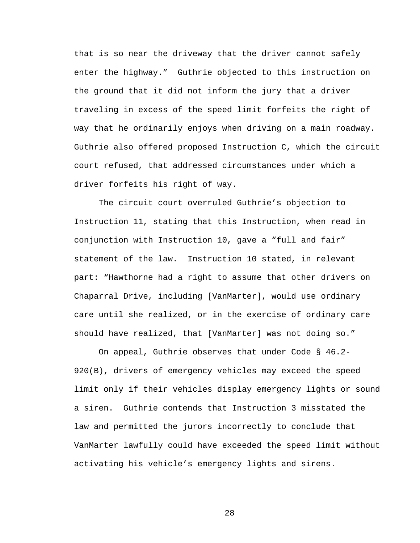that is so near the driveway that the driver cannot safely enter the highway." Guthrie objected to this instruction on the ground that it did not inform the jury that a driver traveling in excess of the speed limit forfeits the right of way that he ordinarily enjoys when driving on a main roadway. Guthrie also offered proposed Instruction C, which the circuit court refused, that addressed circumstances under which a driver forfeits his right of way.

The circuit court overruled Guthrie's objection to Instruction 11, stating that this Instruction, when read in conjunction with Instruction 10, gave a "full and fair" statement of the law. Instruction 10 stated, in relevant part: "Hawthorne had a right to assume that other drivers on Chaparral Drive, including [VanMarter], would use ordinary care until she realized, or in the exercise of ordinary care should have realized, that [VanMarter] was not doing so."

On appeal, Guthrie observes that under Code § 46.2- 920(B), drivers of emergency vehicles may exceed the speed limit only if their vehicles display emergency lights or sound a siren. Guthrie contends that Instruction 3 misstated the law and permitted the jurors incorrectly to conclude that VanMarter lawfully could have exceeded the speed limit without activating his vehicle's emergency lights and sirens.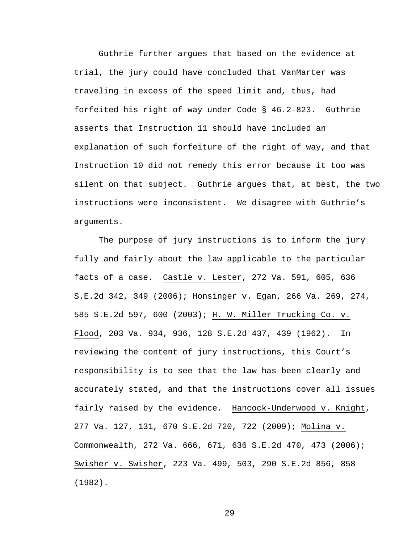Guthrie further argues that based on the evidence at trial, the jury could have concluded that VanMarter was traveling in excess of the speed limit and, thus, had forfeited his right of way under Code § 46.2-823. Guthrie asserts that Instruction 11 should have included an explanation of such forfeiture of the right of way, and that Instruction 10 did not remedy this error because it too was silent on that subject. Guthrie argues that, at best, the two instructions were inconsistent. We disagree with Guthrie's arguments.

The purpose of jury instructions is to inform the jury fully and fairly about the law applicable to the particular facts of a case. Castle v. Lester, 272 Va. 591, 605, 636 S.E.2d 342, 349 (2006); Honsinger v. Egan, 266 Va. 269, 274, 585 S.E.2d 597, 600 (2003); H. W. Miller Trucking Co. v. Flood, 203 Va. 934, 936, 128 S.E.2d 437, 439 (1962). In reviewing the content of jury instructions, this Court's responsibility is to see that the law has been clearly and accurately stated, and that the instructions cover all issues fairly raised by the evidence. Hancock-Underwood v. Knight, 277 Va. 127, 131, 670 S.E.2d 720, 722 (2009); Molina v. Commonwealth, 272 Va. 666, 671, 636 S.E.2d 470, 473 (2006); Swisher v. Swisher, 223 Va. 499, 503, 290 S.E.2d 856, 858 (1982).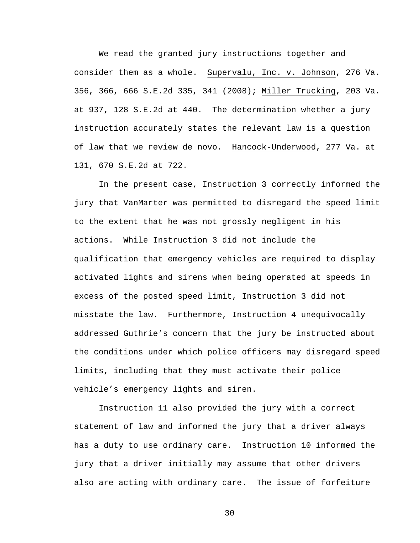We read the granted jury instructions together and consider them as a whole. Supervalu, Inc. v. Johnson, 276 Va. 356, 366, 666 S.E.2d 335, 341 (2008); Miller Trucking, 203 Va. at 937, 128 S.E.2d at 440. The determination whether a jury instruction accurately states the relevant law is a question of law that we review de novo. Hancock-Underwood, 277 Va. at 131, 670 S.E.2d at 722.

In the present case, Instruction 3 correctly informed the jury that VanMarter was permitted to disregard the speed limit to the extent that he was not grossly negligent in his actions. While Instruction 3 did not include the qualification that emergency vehicles are required to display activated lights and sirens when being operated at speeds in excess of the posted speed limit, Instruction 3 did not misstate the law. Furthermore, Instruction 4 unequivocally addressed Guthrie's concern that the jury be instructed about the conditions under which police officers may disregard speed limits, including that they must activate their police vehicle's emergency lights and siren.

Instruction 11 also provided the jury with a correct statement of law and informed the jury that a driver always has a duty to use ordinary care. Instruction 10 informed the jury that a driver initially may assume that other drivers also are acting with ordinary care. The issue of forfeiture